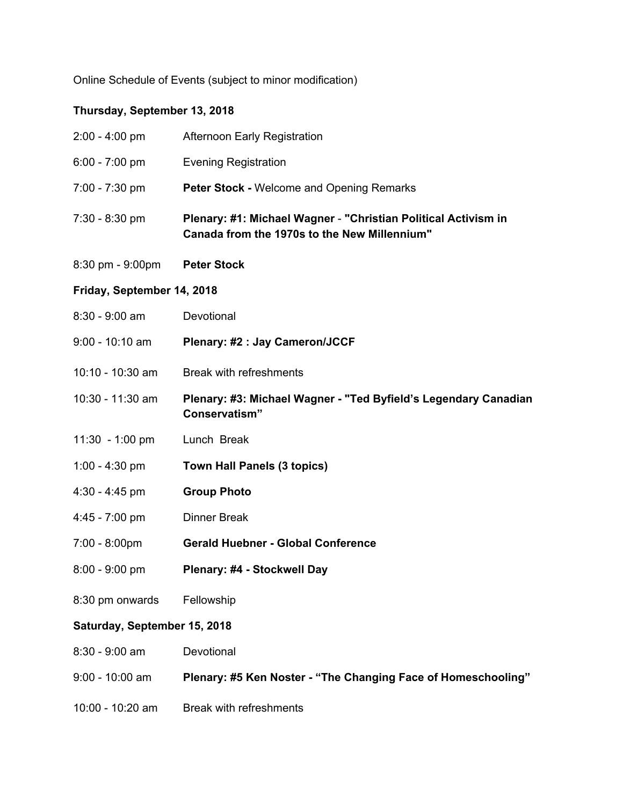Online Schedule of Events (subject to minor modification)

## **Thursday, September 13, 2018**

| $2:00 - 4:00$ pm                   | Afternoon Early Registration                                                                                   |  |
|------------------------------------|----------------------------------------------------------------------------------------------------------------|--|
| 6:00 - 7:00 pm                     | <b>Evening Registration</b>                                                                                    |  |
| 7:00 - 7:30 pm                     | <b>Peter Stock - Welcome and Opening Remarks</b>                                                               |  |
| $7:30 - 8:30$ pm                   | Plenary: #1: Michael Wagner - "Christian Political Activism in<br>Canada from the 1970s to the New Millennium" |  |
| $8:30 \text{ pm} - 9:00 \text{pm}$ | <b>Peter Stock</b>                                                                                             |  |
| Friday, September 14, 2018         |                                                                                                                |  |
| $8:30 - 9:00$ am                   | Devotional                                                                                                     |  |
| $9:00 - 10:10$ am                  | Plenary: #2 : Jay Cameron/JCCF                                                                                 |  |
| 10:10 - 10:30 am                   | <b>Break with refreshments</b>                                                                                 |  |
| 10:30 - 11:30 am                   | Plenary: #3: Michael Wagner - "Ted Byfield's Legendary Canadian<br>Conservatism"                               |  |
| 11:30 - 1:00 pm                    | Lunch Break                                                                                                    |  |
| 1:00 - 4:30 pm                     | <b>Town Hall Panels (3 topics)</b>                                                                             |  |
| $4:30 - 4:45$ pm                   | <b>Group Photo</b>                                                                                             |  |
| $4:45 - 7:00$ pm                   | <b>Dinner Break</b>                                                                                            |  |
| $7:00 - 8:00 \text{pm}$            | <b>Gerald Huebner - Global Conference</b>                                                                      |  |
| $8:00 - 9:00$ pm                   | Plenary: #4 - Stockwell Day                                                                                    |  |
| 8:30 pm onwards                    | Fellowship                                                                                                     |  |
| Saturday, September 15, 2018       |                                                                                                                |  |
| 8:30 - 9:00 am                     | Devotional                                                                                                     |  |
| 9:00 - 10:00 am                    | Plenary: #5 Ken Noster - "The Changing Face of Homeschooling"                                                  |  |
| 10:00 - 10:20 am                   | <b>Break with refreshments</b>                                                                                 |  |